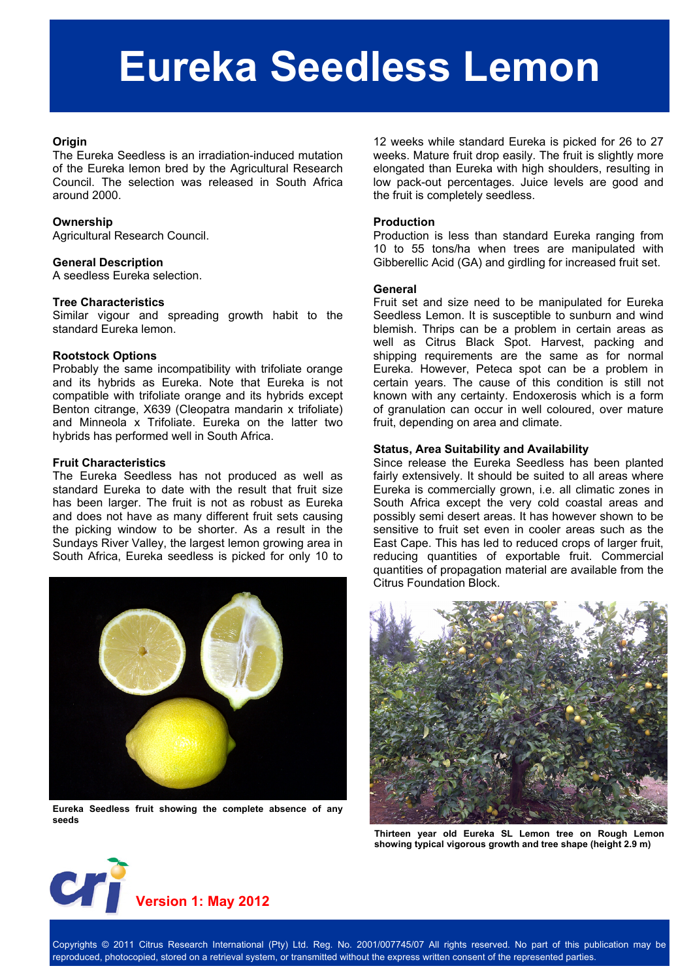## **Eureka Seedless Lemon**

#### **Origin**

The Eureka Seedless is an irradiation-induced mutation of the Eureka lemon bred by the Agricultural Research Council. The selection was released in South Africa around 2000.

#### **Ownership**

Agricultural Research Council.

#### **General Description**

A seedless Eureka selection.

#### **Tree Characteristics**

Similar vigour and spreading growth habit to the standard Eureka lemon.

#### **Rootstock Options**

Probably the same incompatibility with trifoliate orange and its hybrids as Eureka. Note that Eureka is not compatible with trifoliate orange and its hybrids except Benton citrange, X639 (Cleopatra mandarin x trifoliate) and Minneola x Trifoliate. Eureka on the latter two hybrids has performed well in South Africa.

#### **Fruit Characteristics**

The Eureka Seedless has not produced as well as standard Eureka to date with the result that fruit size has been larger. The fruit is not as robust as Eureka and does not have as many different fruit sets causing the picking window to be shorter. As a result in the Sundays River Valley, the largest lemon growing area in South Africa, Eureka seedless is picked for only 10 to



**Eureka Seedless fruit showing the complete absence of any seeds** 

12 weeks while standard Eureka is picked for 26 to 27 weeks. Mature fruit drop easily. The fruit is slightly more elongated than Eureka with high shoulders, resulting in low pack-out percentages. Juice levels are good and the fruit is completely seedless.

#### **Production**

Production is less than standard Eureka ranging from 10 to 55 tons/ha when trees are manipulated with Gibberellic Acid (GA) and girdling for increased fruit set.

#### **General**

Fruit set and size need to be manipulated for Eureka Seedless Lemon. It is susceptible to sunburn and wind blemish. Thrips can be a problem in certain areas as well as Citrus Black Spot. Harvest, packing and shipping requirements are the same as for normal Eureka. However, Peteca spot can be a problem in certain years. The cause of this condition is still not known with any certainty. Endoxerosis which is a form of granulation can occur in well coloured, over mature fruit, depending on area and climate.

#### **Status, Area Suitability and Availability**

Since release the Eureka Seedless has been planted fairly extensively. It should be suited to all areas where Eureka is commercially grown, i.e. all climatic zones in South Africa except the very cold coastal areas and possibly semi desert areas. It has however shown to be sensitive to fruit set even in cooler areas such as the East Cape. This has led to reduced crops of larger fruit, reducing quantities of exportable fruit. Commercial quantities of propagation material are available from the Citrus Foundation Block.



**Thirteen year old Eureka SL Lemon tree on Rough Lemon showing typical vigorous growth and tree shape (height 2.9 m)** 

# **Version 1: May 2012**

Copyrights © 2011 Citrus Research International (Pty) Ltd. Reg. No. 2001/007745/07 All rights reserved. No part of this publication may be reproduced, photocopied, stored on a retrieval system, or transmitted without the express written consent of the represented parties.